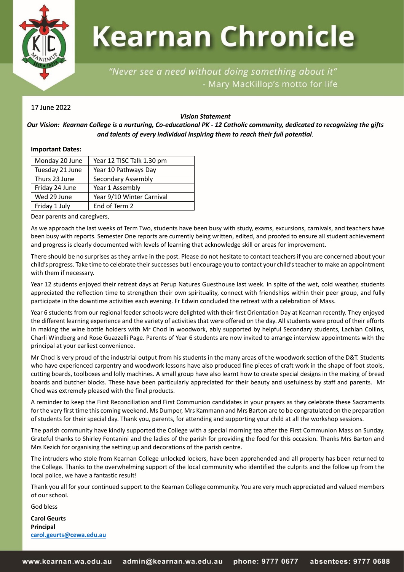

# **Kearnan Chronicle**

# "Never see a need without doing something about it" - Mary MacKillop's motto for life

# 17 June 2022

# *Vision Statement*

# *Our Vision: Kearnan College is a nurturing, Co-educational PK - 12 Catholic community, dedicated to recognizing the gifts and talents of every individual inspiring them to reach their full potential.*

# **Important Dates:**

| Monday 20 June  | Year 12 TISC Talk 1.30 pm |
|-----------------|---------------------------|
| Tuesday 21 June | Year 10 Pathways Day      |
| Thurs 23 June   | Secondary Assembly        |
| Friday 24 June  | Year 1 Assembly           |
| Wed 29 June     | Year 9/10 Winter Carnival |
| Friday 1 July   | End of Term 2             |

Dear parents and caregivers,

As we approach the last weeks of Term Two, students have been busy with study, exams, excursions, carnivals, and teachers have been busy with reports. Semester One reports are currently being written, edited, and proofed to ensure all student achievement and progress is clearly documented with levels of learning that acknowledge skill or areas for improvement.

There should be no surprises as they arrive in the post. Please do not hesitate to contact teachers if you are concerned about your child's progress. Take time to celebrate their successes but I encourage you to contact your child's teacher to make an appointment with them if necessary.

Year 12 students enjoyed their retreat days at Perup Natures Guesthouse last week. In spite of the wet, cold weather, students appreciated the reflection time to strengthen their own spirituality, connect with friendships within their peer group, and fully participate in the downtime activities each evening. Fr Edwin concluded the retreat with a celebration of Mass.

Year 6 students from our regional feeder schools were delighted with their first Orientation Day at Kearnan recently. They enjoyed the different learning experience and the variety of activities that were offered on the day. All students were proud of their efforts in making the wine bottle holders with Mr Chod in woodwork, ably supported by helpful Secondary students, Lachlan Collins, Charli Windberg and Rose Guazzelli Page. Parents of Year 6 students are now invited to arrange interview appointments with the principal at your earliest convenience.

Mr Chod is very proud of the industrial output from his students in the many areas of the woodwork section of the D&T. Students who have experienced carpentry and woodwork lessons have also produced fine pieces of craft work in the shape of foot stools, cutting boards, toolboxes and lolly machines. A small group have also learnt how to create special designs in the making of bread boards and butcher blocks. These have been particularly appreciated for their beauty and usefulness by staff and parents. Mr Chod was extremely pleased with the final products.

A reminder to keep the First Reconciliation and First Communion candidates in your prayers as they celebrate these Sacraments for the very first time this coming weekend. Ms Dumper, Mrs Kammann and Mrs Barton are to be congratulated on the preparation of students for their special day. Thank you, parents, for attending and supporting your child at all the workshop sessions.

The parish community have kindly supported the College with a special morning tea after the First Communion Mass on Sunday. Grateful thanks to Shirley Fontanini and the ladies of the parish for providing the food for this occasion. Thanks Mrs Barton and Mrs Kezich for organising the setting up and decorations of the parish centre.

The intruders who stole from Kearnan College unlocked lockers, have been apprehended and all property has been returned to the College. Thanks to the overwhelming support of the local community who identified the culprits and the follow up from the local police, we have a fantastic result!

Thank you all for your continued support to the Kearnan College community. You are very much appreciated and valued members of our school.

God bless

**Carol Geurts Principal [carol.geurts@cewa.edu.au](mailto:carol.geurts@cewa.edu.au)**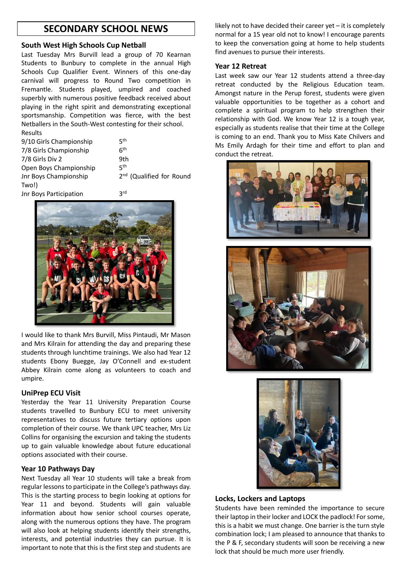# **SECONDARY SCHOOL NEWS**

# **South West High Schools Cup Netball**

Last Tuesday Mrs Burvill lead a group of 70 Kearnan Students to Bunbury to complete in the annual High Schools Cup Qualifier Event. Winners of this one-day carnival will progress to Round Two competition in Fremantle. Students played, umpired and coached superbly with numerous positive feedback received about playing in the right spirit and demonstrating exceptional sportsmanship. Competition was fierce, with the best Netballers in the South-West contesting for their school. Results

| 9/10 Girls Championship | ςth                                  |
|-------------------------|--------------------------------------|
| 7/8 Girls Championship  | <b>Gth</b>                           |
| 7/8 Girls Div 2         | 9th                                  |
| Open Boys Championship  | ςth                                  |
| Jnr Boys Championship   | 2 <sup>nd</sup> (Qualified for Round |
| Two!)                   |                                      |
| Jnr Boys Participation  | <b>J</b> rd                          |



I would like to thank Mrs Burvill, Miss Pintaudi, Mr Mason and Mrs Kilrain for attending the day and preparing these students through lunchtime trainings. We also had Year 12 students Ebony Buegge, Jay O'Connell and ex-student Abbey Kilrain come along as volunteers to coach and umpire.

#### **UniPrep ECU Visit**

Yesterday the Year 11 University Preparation Course students travelled to Bunbury ECU to meet university representatives to discuss future tertiary options upon completion of their course. We thank UPC teacher, Mrs Liz Collins for organising the excursion and taking the students up to gain valuable knowledge about future educational options associated with their course.

# **Year 10 Pathways Day**

Next Tuesday all Year 10 students will take a break from regular lessons to participate in the College's pathways day. This is the starting process to begin looking at options for Year 11 and beyond. Students will gain valuable information about how senior school courses operate, along with the numerous options they have. The program will also look at helping students identify their strengths, interests, and potential industries they can pursue. It is important to note that this is the first step and students are

likely not to have decided their career yet – it is completely normal for a 15 year old not to know! I encourage parents to keep the conversation going at home to help students find avenues to pursue their interests.

#### **Year 12 Retreat**

Last week saw our Year 12 students attend a three-day retreat conducted by the Religious Education team. Amongst nature in the Perup forest, students were given valuable opportunities to be together as a cohort and complete a spiritual program to help strengthen their relationship with God. We know Year 12 is a tough year, especially as students realise that their time at the College is coming to an end. Thank you to Miss Kate Chilvers and Ms Emily Ardagh for their time and effort to plan and conduct the retreat.





# **Locks, Lockers and Laptops**

Students have been reminded the importance to secure their laptop in their locker and LOCK the padlock! For some, this is a habit we must change. One barrier is the turn style combination lock; I am pleased to announce that thanks to the P & F, secondary students will soon be receiving a new lock that should be much more user friendly.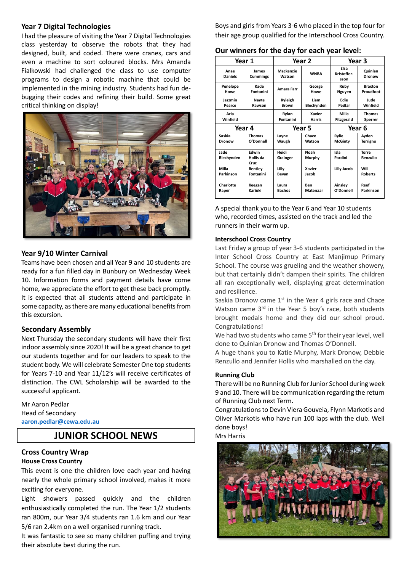# **Year 7 Digital Technologies**

I had the pleasure of visiting the Year 7 Digital Technologies class yesterday to observe the robots that they had designed, built, and coded. There were cranes, cars and even a machine to sort coloured blocks. Mrs Amanda Fialkowski had challenged the class to use computer programs to design a robotic machine that could be implemented in the mining industry. Students had fun debugging their codes and refining their build. Some great critical thinking on display!



# **Year 9/10 Winter Carnival**

Teams have been chosen and all Year 9 and 10 students are ready for a fun filled day in Bunbury on Wednesday Week 10. Information forms and payment details have come home, we appreciate the effort to get these back promptly. It is expected that all students attend and participate in some capacity, as there are many educational benefits from this excursion.

# **Secondary Assembly**

Next Thursday the secondary students will have their first indoor assembly since 2020! It will be a great chance to get our students together and for our leaders to speak to the student body. We will celebrate Semester One top students for Years 7-10 and Year 11/12's will receive certificates of distinction. The CWL Scholarship will be awarded to the successful applicant.

Mr Aaron Pedlar Head of Secondary **[aaron.pedlar@cewa.edu.au](mailto:aaron.pedlar@cewa.edu.au)**

# **JUNIOR SCHOOL NEWS**

#### **Cross Country Wrap House Cross Country**

This event is one the children love each year and having nearly the whole primary school involved, makes it more exciting for everyone.

Light showers passed quickly and the children enthusiastically completed the run. The Year 1/2 students ran 800m, our Year 3/4 students ran 1.6 km and our Year 5/6 ran 2.4km on a well organised running track.

It was fantastic to see so many children puffing and trying their absolute best during the run.

Boys and girls from Years 3-6 who placed in the top four for their age group qualified for the Interschool Cross Country.

**Our winners for the day for each year level:**

| Year 1                 |                                   |                            | Year 2         | Year 3                      |                          |
|------------------------|-----------------------------------|----------------------------|----------------|-----------------------------|--------------------------|
| Anae<br><b>Daniels</b> | James<br><b>Cummings</b>          | <b>Mackenzie</b><br>Watson | <b>WNBA</b>    | Elsa<br>Kristoffer-<br>sson | Quinlan<br>Dronow        |
| Penelope               | Kade                              | <b>Amara Farr</b>          | George         | Ruby                        | <b>Braxton</b>           |
| Howe                   | Fontanini                         |                            | Howe           | Nguyen                      | Proudfoot                |
| Jazzmin                | Nayte                             | Ryleigh                    | Liam           | Edie                        | Jude                     |
| Pearce                 | Rawson                            | <b>Brown</b>               | Blechynden     | Pedlar                      | Winfield                 |
| Aria                   |                                   | Rylan                      | <b>Xavier</b>  | Milla                       | <b>Thomas</b>            |
| Winfield               |                                   | Fontanini                  | <b>Harris</b>  | Fitzgerald                  | Sperrer                  |
| Year 4                 |                                   | Year 5                     |                | Year 6                      |                          |
| Saskia                 | <b>Thomas</b>                     | Layne                      | Chace          | Rylie                       | Avden                    |
| Dronow                 | O'Donnell                         | Waugh                      | Watson         | <b>McGinty</b>              | Terrigno                 |
| Jade<br>Blechynden     | <b>Fdwin</b><br>Hollis da<br>Cruz | Heidi<br>Grainger          | Noah<br>Murphy | Isla<br>Pardini             | <b>Torre</b><br>Renzullo |
| Milla                  | <b>Bentley</b>                    | Lilly                      | <b>Xavier</b>  | <b>Lilly Jacob</b>          | Will                     |
| Parkinson              | Fontanini                         | Bevan                      | Jacob          |                             | <b>Roberts</b>           |
| Charlotte              | Keegan                            | Laura                      | <b>Ben</b>     | Ainsley                     | Reef                     |
| Raper                  | Kariuki                           | <b>Bachos</b>              | Matenaar       | O'Donnell                   | Parkinson                |

A special thank you to the Year 6 and Year 10 students who, recorded times, assisted on the track and led the runners in their warm up.

# **Interschool Cross Country**

Last Friday a group of year 3-6 students participated in the Inter School Cross Country at East Manjimup Primary School. The course was grueling and the weather showery, but that certainly didn't dampen their spirits. The children all ran exceptionally well, displaying great determination and resilience.

Saskia Dronow came  $1<sup>st</sup>$  in the Year 4 girls race and Chace Watson came  $3<sup>rd</sup>$  in the Year 5 boy's race, both students brought medals home and they did our school proud. Congratulations!

We had two students who came 5<sup>th</sup> for their year level, well done to Quinlan Dronow and Thomas O'Donnell.

A huge thank you to Katie Murphy, Mark Dronow, Debbie Renzullo and Jennifer Hollis who marshalled on the day.

# **Running Club**

There will be no Running Club for Junior School during week 9 and 10. There will be communication regarding the return of Running Club next Term.

Congratulations to Devin Viera Gouveia, Flynn Markotis and Oliver Markotis who have run 100 laps with the club. Well done boys!

Mrs Harris